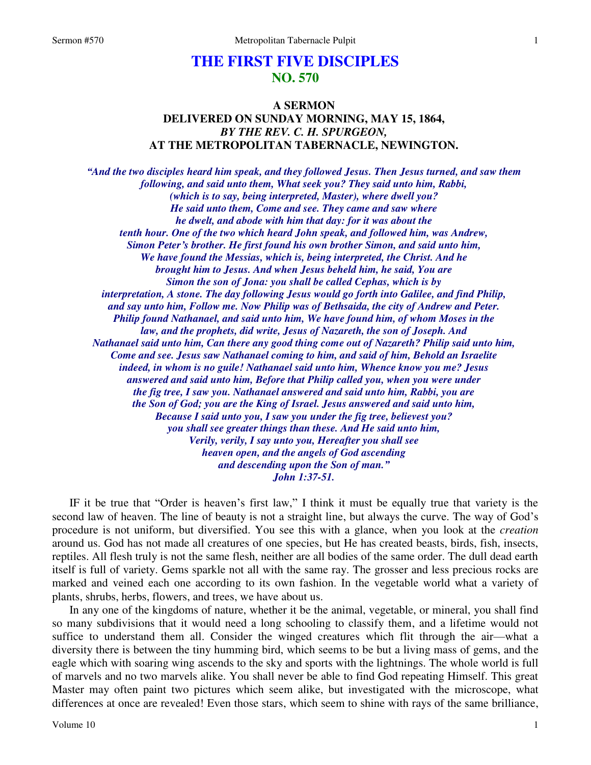## **THE FIRST FIVE DISCIPLES NO. 570**

## **A SERMON DELIVERED ON SUNDAY MORNING, MAY 15, 1864,**  *BY THE REV. C. H. SPURGEON,*  **AT THE METROPOLITAN TABERNACLE, NEWINGTON.**

*"And the two disciples heard him speak, and they followed Jesus. Then Jesus turned, and saw them following, and said unto them, What seek you? They said unto him, Rabbi, (which is to say, being interpreted, Master), where dwell you? He said unto them, Come and see. They came and saw where he dwelt, and abode with him that day: for it was about the tenth hour. One of the two which heard John speak, and followed him, was Andrew, Simon Peter's brother. He first found his own brother Simon, and said unto him, We have found the Messias, which is, being interpreted, the Christ. And he brought him to Jesus. And when Jesus beheld him, he said, You are Simon the son of Jona: you shall be called Cephas, which is by interpretation, A stone. The day following Jesus would go forth into Galilee, and find Philip, and say unto him, Follow me. Now Philip was of Bethsaida, the city of Andrew and Peter. Philip found Nathanael, and said unto him, We have found him, of whom Moses in the law, and the prophets, did write, Jesus of Nazareth, the son of Joseph. And Nathanael said unto him, Can there any good thing come out of Nazareth? Philip said unto him, Come and see. Jesus saw Nathanael coming to him, and said of him, Behold an Israelite indeed, in whom is no guile! Nathanael said unto him, Whence know you me? Jesus answered and said unto him, Before that Philip called you, when you were under the fig tree, I saw you. Nathanael answered and said unto him, Rabbi, you are the Son of God; you are the King of Israel. Jesus answered and said unto him, Because I said unto you, I saw you under the fig tree, believest you? you shall see greater things than these. And He said unto him, Verily, verily, I say unto you, Hereafter you shall see heaven open, and the angels of God ascending and descending upon the Son of man." John 1:37-51.* 

IF it be true that "Order is heaven's first law," I think it must be equally true that variety is the second law of heaven. The line of beauty is not a straight line, but always the curve. The way of God's procedure is not uniform, but diversified. You see this with a glance, when you look at the *creation* around us. God has not made all creatures of one species, but He has created beasts, birds, fish, insects, reptiles. All flesh truly is not the same flesh, neither are all bodies of the same order. The dull dead earth itself is full of variety. Gems sparkle not all with the same ray. The grosser and less precious rocks are marked and veined each one according to its own fashion. In the vegetable world what a variety of plants, shrubs, herbs, flowers, and trees, we have about us.

In any one of the kingdoms of nature, whether it be the animal, vegetable, or mineral, you shall find so many subdivisions that it would need a long schooling to classify them, and a lifetime would not suffice to understand them all. Consider the winged creatures which flit through the air—what a diversity there is between the tiny humming bird, which seems to be but a living mass of gems, and the eagle which with soaring wing ascends to the sky and sports with the lightnings. The whole world is full of marvels and no two marvels alike. You shall never be able to find God repeating Himself. This great Master may often paint two pictures which seem alike, but investigated with the microscope, what differences at once are revealed! Even those stars, which seem to shine with rays of the same brilliance,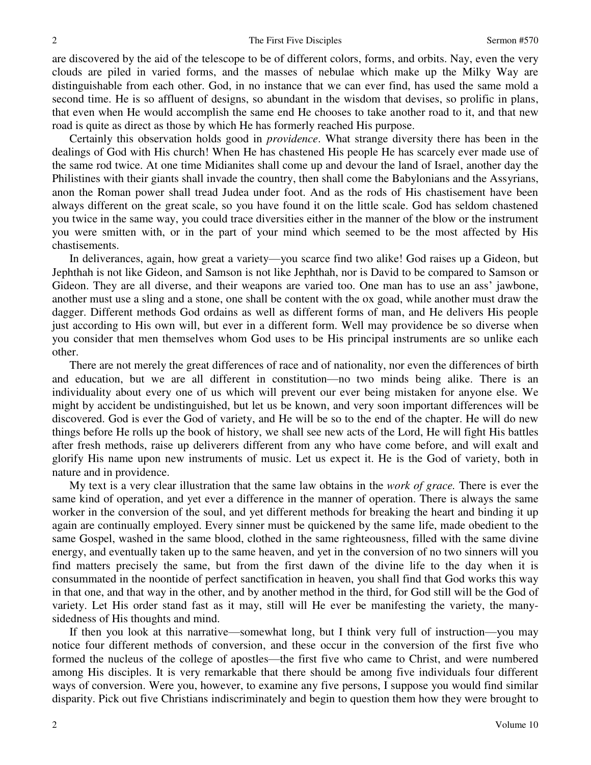are discovered by the aid of the telescope to be of different colors, forms, and orbits. Nay, even the very clouds are piled in varied forms, and the masses of nebulae which make up the Milky Way are distinguishable from each other. God, in no instance that we can ever find, has used the same mold a second time. He is so affluent of designs, so abundant in the wisdom that devises, so prolific in plans, that even when He would accomplish the same end He chooses to take another road to it, and that new road is quite as direct as those by which He has formerly reached His purpose.

Certainly this observation holds good in *providence*. What strange diversity there has been in the dealings of God with His church! When He has chastened His people He has scarcely ever made use of the same rod twice. At one time Midianites shall come up and devour the land of Israel, another day the Philistines with their giants shall invade the country, then shall come the Babylonians and the Assyrians, anon the Roman power shall tread Judea under foot. And as the rods of His chastisement have been always different on the great scale, so you have found it on the little scale. God has seldom chastened you twice in the same way, you could trace diversities either in the manner of the blow or the instrument you were smitten with, or in the part of your mind which seemed to be the most affected by His chastisements.

In deliverances, again, how great a variety—you scarce find two alike! God raises up a Gideon, but Jephthah is not like Gideon, and Samson is not like Jephthah, nor is David to be compared to Samson or Gideon. They are all diverse, and their weapons are varied too. One man has to use an ass' jawbone, another must use a sling and a stone, one shall be content with the ox goad, while another must draw the dagger. Different methods God ordains as well as different forms of man, and He delivers His people just according to His own will, but ever in a different form. Well may providence be so diverse when you consider that men themselves whom God uses to be His principal instruments are so unlike each other.

There are not merely the great differences of race and of nationality, nor even the differences of birth and education, but we are all different in constitution—no two minds being alike. There is an individuality about every one of us which will prevent our ever being mistaken for anyone else. We might by accident be undistinguished, but let us be known, and very soon important differences will be discovered. God is ever the God of variety, and He will be so to the end of the chapter. He will do new things before He rolls up the book of history, we shall see new acts of the Lord, He will fight His battles after fresh methods, raise up deliverers different from any who have come before, and will exalt and glorify His name upon new instruments of music. Let us expect it. He is the God of variety, both in nature and in providence.

My text is a very clear illustration that the same law obtains in the *work of grace.* There is ever the same kind of operation, and yet ever a difference in the manner of operation. There is always the same worker in the conversion of the soul, and yet different methods for breaking the heart and binding it up again are continually employed. Every sinner must be quickened by the same life, made obedient to the same Gospel, washed in the same blood, clothed in the same righteousness, filled with the same divine energy, and eventually taken up to the same heaven, and yet in the conversion of no two sinners will you find matters precisely the same, but from the first dawn of the divine life to the day when it is consummated in the noontide of perfect sanctification in heaven, you shall find that God works this way in that one, and that way in the other, and by another method in the third, for God still will be the God of variety. Let His order stand fast as it may, still will He ever be manifesting the variety, the manysidedness of His thoughts and mind.

If then you look at this narrative—somewhat long, but I think very full of instruction—you may notice four different methods of conversion, and these occur in the conversion of the first five who formed the nucleus of the college of apostles—the first five who came to Christ, and were numbered among His disciples. It is very remarkable that there should be among five individuals four different ways of conversion. Were you, however, to examine any five persons, I suppose you would find similar disparity. Pick out five Christians indiscriminately and begin to question them how they were brought to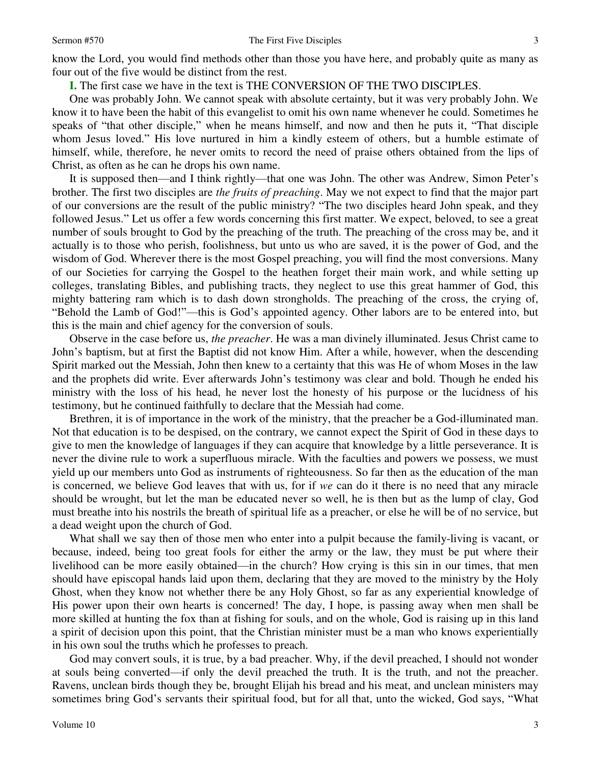know the Lord, you would find methods other than those you have here, and probably quite as many as four out of the five would be distinct from the rest.

**I.** The first case we have in the text is THE CONVERSION OF THE TWO DISCIPLES.

One was probably John. We cannot speak with absolute certainty, but it was very probably John. We know it to have been the habit of this evangelist to omit his own name whenever he could. Sometimes he speaks of "that other disciple," when he means himself, and now and then he puts it, "That disciple whom Jesus loved." His love nurtured in him a kindly esteem of others, but a humble estimate of himself, while, therefore, he never omits to record the need of praise others obtained from the lips of Christ, as often as he can he drops his own name.

It is supposed then—and I think rightly—that one was John. The other was Andrew, Simon Peter's brother. The first two disciples are *the fruits of preaching*. May we not expect to find that the major part of our conversions are the result of the public ministry? "The two disciples heard John speak, and they followed Jesus." Let us offer a few words concerning this first matter. We expect, beloved, to see a great number of souls brought to God by the preaching of the truth. The preaching of the cross may be, and it actually is to those who perish, foolishness, but unto us who are saved, it is the power of God, and the wisdom of God. Wherever there is the most Gospel preaching, you will find the most conversions. Many of our Societies for carrying the Gospel to the heathen forget their main work, and while setting up colleges, translating Bibles, and publishing tracts, they neglect to use this great hammer of God, this mighty battering ram which is to dash down strongholds. The preaching of the cross, the crying of, "Behold the Lamb of God!"—this is God's appointed agency. Other labors are to be entered into, but this is the main and chief agency for the conversion of souls.

Observe in the case before us, *the preacher*. He was a man divinely illuminated. Jesus Christ came to John's baptism, but at first the Baptist did not know Him. After a while, however, when the descending Spirit marked out the Messiah, John then knew to a certainty that this was He of whom Moses in the law and the prophets did write. Ever afterwards John's testimony was clear and bold. Though he ended his ministry with the loss of his head, he never lost the honesty of his purpose or the lucidness of his testimony, but he continued faithfully to declare that the Messiah had come.

Brethren, it is of importance in the work of the ministry, that the preacher be a God-illuminated man. Not that education is to be despised, on the contrary, we cannot expect the Spirit of God in these days to give to men the knowledge of languages if they can acquire that knowledge by a little perseverance. It is never the divine rule to work a superfluous miracle. With the faculties and powers we possess, we must yield up our members unto God as instruments of righteousness. So far then as the education of the man is concerned, we believe God leaves that with us, for if *we* can do it there is no need that any miracle should be wrought, but let the man be educated never so well, he is then but as the lump of clay, God must breathe into his nostrils the breath of spiritual life as a preacher, or else he will be of no service, but a dead weight upon the church of God.

What shall we say then of those men who enter into a pulpit because the family-living is vacant, or because, indeed, being too great fools for either the army or the law, they must be put where their livelihood can be more easily obtained—in the church? How crying is this sin in our times, that men should have episcopal hands laid upon them, declaring that they are moved to the ministry by the Holy Ghost, when they know not whether there be any Holy Ghost, so far as any experiential knowledge of His power upon their own hearts is concerned! The day, I hope, is passing away when men shall be more skilled at hunting the fox than at fishing for souls, and on the whole, God is raising up in this land a spirit of decision upon this point, that the Christian minister must be a man who knows experientially in his own soul the truths which he professes to preach.

God may convert souls, it is true, by a bad preacher. Why, if the devil preached, I should not wonder at souls being converted—if only the devil preached the truth. It is the truth, and not the preacher. Ravens, unclean birds though they be, brought Elijah his bread and his meat, and unclean ministers may sometimes bring God's servants their spiritual food, but for all that, unto the wicked, God says, "What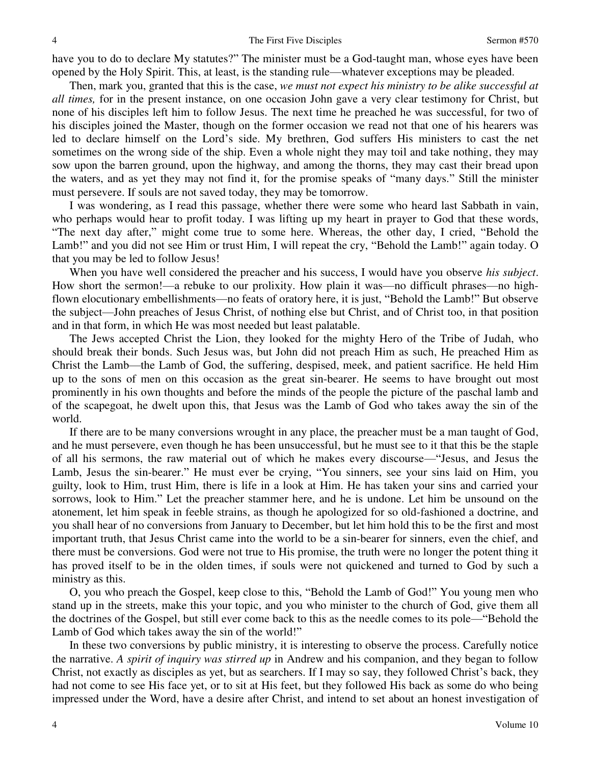have you to do to declare My statutes?" The minister must be a God-taught man, whose eyes have been opened by the Holy Spirit. This, at least, is the standing rule—whatever exceptions may be pleaded.

Then, mark you, granted that this is the case, *we must not expect his ministry to be alike successful at all times,* for in the present instance, on one occasion John gave a very clear testimony for Christ, but none of his disciples left him to follow Jesus. The next time he preached he was successful, for two of his disciples joined the Master, though on the former occasion we read not that one of his hearers was led to declare himself on the Lord's side. My brethren, God suffers His ministers to cast the net sometimes on the wrong side of the ship. Even a whole night they may toil and take nothing, they may sow upon the barren ground, upon the highway, and among the thorns, they may cast their bread upon the waters, and as yet they may not find it, for the promise speaks of "many days." Still the minister must persevere. If souls are not saved today, they may be tomorrow.

I was wondering, as I read this passage, whether there were some who heard last Sabbath in vain, who perhaps would hear to profit today. I was lifting up my heart in prayer to God that these words, "The next day after," might come true to some here. Whereas, the other day, I cried, "Behold the Lamb!" and you did not see Him or trust Him, I will repeat the cry, "Behold the Lamb!" again today. O that you may be led to follow Jesus!

When you have well considered the preacher and his success, I would have you observe *his subject*. How short the sermon!—a rebuke to our prolixity. How plain it was—no difficult phrases—no highflown elocutionary embellishments—no feats of oratory here, it is just, "Behold the Lamb!" But observe the subject—John preaches of Jesus Christ, of nothing else but Christ, and of Christ too, in that position and in that form, in which He was most needed but least palatable.

The Jews accepted Christ the Lion, they looked for the mighty Hero of the Tribe of Judah, who should break their bonds. Such Jesus was, but John did not preach Him as such, He preached Him as Christ the Lamb—the Lamb of God, the suffering, despised, meek, and patient sacrifice. He held Him up to the sons of men on this occasion as the great sin-bearer. He seems to have brought out most prominently in his own thoughts and before the minds of the people the picture of the paschal lamb and of the scapegoat, he dwelt upon this, that Jesus was the Lamb of God who takes away the sin of the world.

If there are to be many conversions wrought in any place, the preacher must be a man taught of God, and he must persevere, even though he has been unsuccessful, but he must see to it that this be the staple of all his sermons, the raw material out of which he makes every discourse—"Jesus, and Jesus the Lamb, Jesus the sin-bearer." He must ever be crying, "You sinners, see your sins laid on Him, you guilty, look to Him, trust Him, there is life in a look at Him. He has taken your sins and carried your sorrows, look to Him." Let the preacher stammer here, and he is undone. Let him be unsound on the atonement, let him speak in feeble strains, as though he apologized for so old-fashioned a doctrine, and you shall hear of no conversions from January to December, but let him hold this to be the first and most important truth, that Jesus Christ came into the world to be a sin-bearer for sinners, even the chief, and there must be conversions. God were not true to His promise, the truth were no longer the potent thing it has proved itself to be in the olden times, if souls were not quickened and turned to God by such a ministry as this.

O, you who preach the Gospel, keep close to this, "Behold the Lamb of God!" You young men who stand up in the streets, make this your topic, and you who minister to the church of God, give them all the doctrines of the Gospel, but still ever come back to this as the needle comes to its pole—"Behold the Lamb of God which takes away the sin of the world!"

In these two conversions by public ministry, it is interesting to observe the process. Carefully notice the narrative. *A spirit of inquiry was stirred up* in Andrew and his companion, and they began to follow Christ, not exactly as disciples as yet, but as searchers. If I may so say, they followed Christ's back, they had not come to see His face yet, or to sit at His feet, but they followed His back as some do who being impressed under the Word, have a desire after Christ, and intend to set about an honest investigation of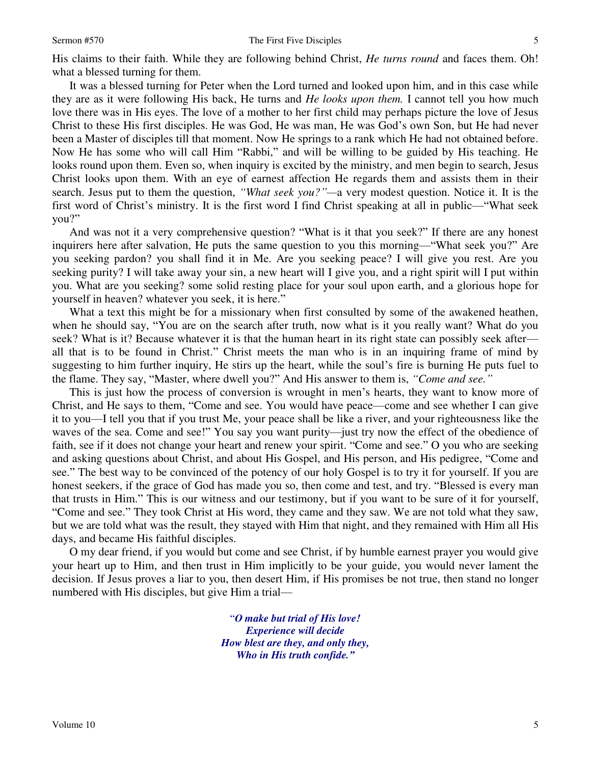His claims to their faith. While they are following behind Christ, *He turns round* and faces them. Oh! what a blessed turning for them.

It was a blessed turning for Peter when the Lord turned and looked upon him, and in this case while they are as it were following His back, He turns and *He looks upon them.* I cannot tell you how much love there was in His eyes. The love of a mother to her first child may perhaps picture the love of Jesus Christ to these His first disciples. He was God, He was man, He was God's own Son, but He had never been a Master of disciples till that moment. Now He springs to a rank which He had not obtained before. Now He has some who will call Him "Rabbi," and will be willing to be guided by His teaching. He looks round upon them. Even so, when inquiry is excited by the ministry, and men begin to search, Jesus Christ looks upon them. With an eye of earnest affection He regards them and assists them in their search. Jesus put to them the question, *"What seek you?"—*a very modest question. Notice it. It is the first word of Christ's ministry. It is the first word I find Christ speaking at all in public—"What seek you?"

And was not it a very comprehensive question? "What is it that you seek?" If there are any honest inquirers here after salvation, He puts the same question to you this morning—"What seek you?" Are you seeking pardon? you shall find it in Me. Are you seeking peace? I will give you rest. Are you seeking purity? I will take away your sin, a new heart will I give you, and a right spirit will I put within you. What are you seeking? some solid resting place for your soul upon earth, and a glorious hope for yourself in heaven? whatever you seek, it is here."

What a text this might be for a missionary when first consulted by some of the awakened heathen, when he should say, "You are on the search after truth, now what is it you really want? What do you seek? What is it? Because whatever it is that the human heart in its right state can possibly seek after all that is to be found in Christ." Christ meets the man who is in an inquiring frame of mind by suggesting to him further inquiry, He stirs up the heart, while the soul's fire is burning He puts fuel to the flame. They say, "Master, where dwell you?" And His answer to them is, *"Come and see."*

This is just how the process of conversion is wrought in men's hearts, they want to know more of Christ, and He says to them, "Come and see. You would have peace—come and see whether I can give it to you—I tell you that if you trust Me, your peace shall be like a river, and your righteousness like the waves of the sea. Come and see!" You say you want purity—just try now the effect of the obedience of faith, see if it does not change your heart and renew your spirit. "Come and see." O you who are seeking and asking questions about Christ, and about His Gospel, and His person, and His pedigree, "Come and see." The best way to be convinced of the potency of our holy Gospel is to try it for yourself. If you are honest seekers, if the grace of God has made you so, then come and test, and try. "Blessed is every man that trusts in Him." This is our witness and our testimony, but if you want to be sure of it for yourself, "Come and see." They took Christ at His word, they came and they saw. We are not told what they saw, but we are told what was the result, they stayed with Him that night, and they remained with Him all His days, and became His faithful disciples.

O my dear friend, if you would but come and see Christ, if by humble earnest prayer you would give your heart up to Him, and then trust in Him implicitly to be your guide, you would never lament the decision. If Jesus proves a liar to you, then desert Him, if His promises be not true, then stand no longer numbered with His disciples, but give Him a trial—

> "*O make but trial of His love! Experience will decide How blest are they, and only they, Who in His truth confide."*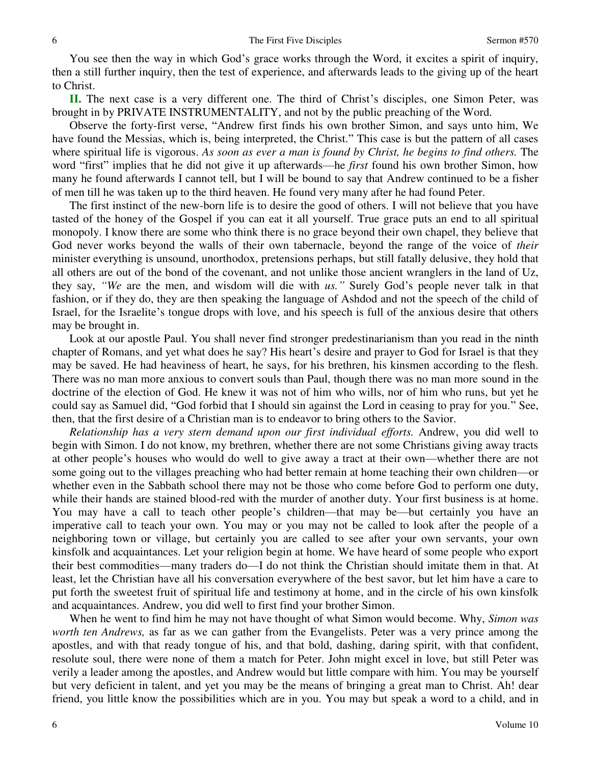You see then the way in which God's grace works through the Word, it excites a spirit of inquiry, then a still further inquiry, then the test of experience, and afterwards leads to the giving up of the heart to Christ.

**II.** The next case is a very different one. The third of Christ's disciples, one Simon Peter, was brought in by PRIVATE INSTRUMENTALITY, and not by the public preaching of the Word.

Observe the forty-first verse, "Andrew first finds his own brother Simon, and says unto him, We have found the Messias, which is, being interpreted, the Christ." This case is but the pattern of all cases where spiritual life is vigorous. *As soon as ever a man is found by Christ, he begins to find others.* The word "first" implies that he did not give it up afterwards—he *first* found his own brother Simon, how many he found afterwards I cannot tell, but I will be bound to say that Andrew continued to be a fisher of men till he was taken up to the third heaven. He found very many after he had found Peter.

The first instinct of the new-born life is to desire the good of others. I will not believe that you have tasted of the honey of the Gospel if you can eat it all yourself. True grace puts an end to all spiritual monopoly. I know there are some who think there is no grace beyond their own chapel, they believe that God never works beyond the walls of their own tabernacle, beyond the range of the voice of *their* minister everything is unsound, unorthodox, pretensions perhaps, but still fatally delusive, they hold that all others are out of the bond of the covenant, and not unlike those ancient wranglers in the land of Uz, they say, *"We* are the men, and wisdom will die with *us."* Surely God's people never talk in that fashion, or if they do, they are then speaking the language of Ashdod and not the speech of the child of Israel, for the Israelite's tongue drops with love, and his speech is full of the anxious desire that others may be brought in.

Look at our apostle Paul. You shall never find stronger predestinarianism than you read in the ninth chapter of Romans, and yet what does he say? His heart's desire and prayer to God for Israel is that they may be saved. He had heaviness of heart, he says, for his brethren, his kinsmen according to the flesh. There was no man more anxious to convert souls than Paul, though there was no man more sound in the doctrine of the election of God. He knew it was not of him who wills, nor of him who runs, but yet he could say as Samuel did, "God forbid that I should sin against the Lord in ceasing to pray for you." See, then, that the first desire of a Christian man is to endeavor to bring others to the Savior.

*Relationship has a very stern demand upon our first individual efforts.* Andrew, you did well to begin with Simon. I do not know, my brethren, whether there are not some Christians giving away tracts at other people's houses who would do well to give away a tract at their own—whether there are not some going out to the villages preaching who had better remain at home teaching their own children—or whether even in the Sabbath school there may not be those who come before God to perform one duty, while their hands are stained blood-red with the murder of another duty. Your first business is at home. You may have a call to teach other people's children—that may be—but certainly you have an imperative call to teach your own. You may or you may not be called to look after the people of a neighboring town or village, but certainly you are called to see after your own servants, your own kinsfolk and acquaintances. Let your religion begin at home. We have heard of some people who export their best commodities—many traders do—I do not think the Christian should imitate them in that. At least, let the Christian have all his conversation everywhere of the best savor, but let him have a care to put forth the sweetest fruit of spiritual life and testimony at home, and in the circle of his own kinsfolk and acquaintances. Andrew, you did well to first find your brother Simon.

When he went to find him he may not have thought of what Simon would become. Why, *Simon was worth ten Andrews,* as far as we can gather from the Evangelists. Peter was a very prince among the apostles, and with that ready tongue of his, and that bold, dashing, daring spirit, with that confident, resolute soul, there were none of them a match for Peter. John might excel in love, but still Peter was verily a leader among the apostles, and Andrew would but little compare with him. You may be yourself but very deficient in talent, and yet you may be the means of bringing a great man to Christ. Ah! dear friend, you little know the possibilities which are in you. You may but speak a word to a child, and in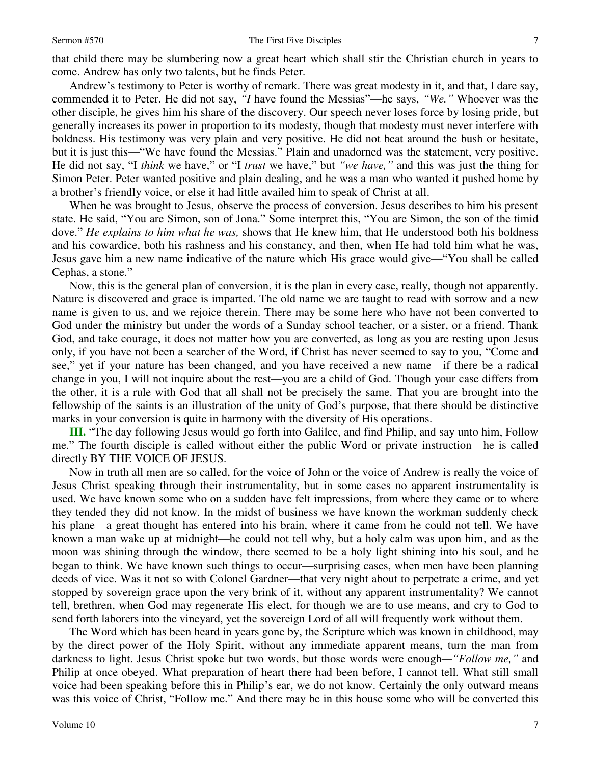that child there may be slumbering now a great heart which shall stir the Christian church in years to come. Andrew has only two talents, but he finds Peter.

Andrew's testimony to Peter is worthy of remark. There was great modesty in it, and that, I dare say, commended it to Peter. He did not say, *"I* have found the Messias"—he says, *"We."* Whoever was the other disciple, he gives him his share of the discovery. Our speech never loses force by losing pride, but generally increases its power in proportion to its modesty, though that modesty must never interfere with boldness. His testimony was very plain and very positive. He did not beat around the bush or hesitate, but it is just this—"We have found the Messias." Plain and unadorned was the statement, very positive. He did not say, "I *think* we have," or "I *trust* we have," but *"we have,"* and this was just the thing for Simon Peter. Peter wanted positive and plain dealing, and he was a man who wanted it pushed home by a brother's friendly voice, or else it had little availed him to speak of Christ at all.

When he was brought to Jesus, observe the process of conversion. Jesus describes to him his present state. He said, "You are Simon, son of Jona." Some interpret this, "You are Simon, the son of the timid dove." *He explains to him what he was,* shows that He knew him, that He understood both his boldness and his cowardice, both his rashness and his constancy, and then, when He had told him what he was, Jesus gave him a new name indicative of the nature which His grace would give—"You shall be called Cephas, a stone."

Now, this is the general plan of conversion, it is the plan in every case, really, though not apparently. Nature is discovered and grace is imparted. The old name we are taught to read with sorrow and a new name is given to us, and we rejoice therein. There may be some here who have not been converted to God under the ministry but under the words of a Sunday school teacher, or a sister, or a friend. Thank God, and take courage, it does not matter how you are converted, as long as you are resting upon Jesus only, if you have not been a searcher of the Word, if Christ has never seemed to say to you, "Come and see," yet if your nature has been changed, and you have received a new name—if there be a radical change in you, I will not inquire about the rest—you are a child of God. Though your case differs from the other, it is a rule with God that all shall not be precisely the same. That you are brought into the fellowship of the saints is an illustration of the unity of God's purpose, that there should be distinctive marks in your conversion is quite in harmony with the diversity of His operations.

**III.** "The day following Jesus would go forth into Galilee, and find Philip, and say unto him, Follow me." The fourth disciple is called without either the public Word or private instruction—he is called directly BY THE VOICE OF JESUS.

Now in truth all men are so called, for the voice of John or the voice of Andrew is really the voice of Jesus Christ speaking through their instrumentality, but in some cases no apparent instrumentality is used. We have known some who on a sudden have felt impressions, from where they came or to where they tended they did not know. In the midst of business we have known the workman suddenly check his plane—a great thought has entered into his brain, where it came from he could not tell. We have known a man wake up at midnight—he could not tell why, but a holy calm was upon him, and as the moon was shining through the window, there seemed to be a holy light shining into his soul, and he began to think. We have known such things to occur—surprising cases, when men have been planning deeds of vice. Was it not so with Colonel Gardner—that very night about to perpetrate a crime, and yet stopped by sovereign grace upon the very brink of it, without any apparent instrumentality? We cannot tell, brethren, when God may regenerate His elect, for though we are to use means, and cry to God to send forth laborers into the vineyard, yet the sovereign Lord of all will frequently work without them.

The Word which has been heard in years gone by, the Scripture which was known in childhood, may by the direct power of the Holy Spirit, without any immediate apparent means, turn the man from darkness to light. Jesus Christ spoke but two words, but those words were enough*—"Follow me,"* and Philip at once obeyed. What preparation of heart there had been before, I cannot tell. What still small voice had been speaking before this in Philip's ear, we do not know. Certainly the only outward means was this voice of Christ, "Follow me." And there may be in this house some who will be converted this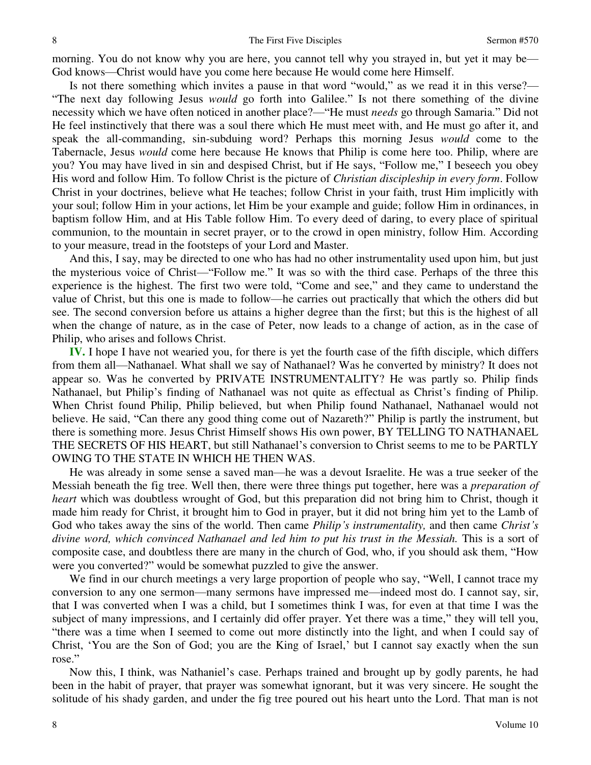morning. You do not know why you are here, you cannot tell why you strayed in, but yet it may be— God knows—Christ would have you come here because He would come here Himself.

Is not there something which invites a pause in that word "would," as we read it in this verse?— "The next day following Jesus *would* go forth into Galilee." Is not there something of the divine necessity which we have often noticed in another place?—"He must *needs* go through Samaria." Did not He feel instinctively that there was a soul there which He must meet with, and He must go after it, and speak the all-commanding, sin-subduing word? Perhaps this morning Jesus *would* come to the Tabernacle, Jesus *would* come here because He knows that Philip is come here too. Philip, where are you? You may have lived in sin and despised Christ, but if He says, "Follow me," I beseech you obey His word and follow Him. To follow Christ is the picture of *Christian discipleship in every form*. Follow Christ in your doctrines, believe what He teaches; follow Christ in your faith, trust Him implicitly with your soul; follow Him in your actions, let Him be your example and guide; follow Him in ordinances, in baptism follow Him, and at His Table follow Him. To every deed of daring, to every place of spiritual communion, to the mountain in secret prayer, or to the crowd in open ministry, follow Him. According to your measure, tread in the footsteps of your Lord and Master.

And this, I say, may be directed to one who has had no other instrumentality used upon him, but just the mysterious voice of Christ—"Follow me." It was so with the third case. Perhaps of the three this experience is the highest. The first two were told, "Come and see," and they came to understand the value of Christ, but this one is made to follow—he carries out practically that which the others did but see. The second conversion before us attains a higher degree than the first; but this is the highest of all when the change of nature, as in the case of Peter, now leads to a change of action, as in the case of Philip, who arises and follows Christ.

**IV.** I hope I have not wearied you, for there is yet the fourth case of the fifth disciple, which differs from them all—Nathanael. What shall we say of Nathanael? Was he converted by ministry? It does not appear so. Was he converted by PRIVATE INSTRUMENTALITY? He was partly so. Philip finds Nathanael, but Philip's finding of Nathanael was not quite as effectual as Christ's finding of Philip. When Christ found Philip, Philip believed, but when Philip found Nathanael, Nathanael would not believe. He said, "Can there any good thing come out of Nazareth?" Philip is partly the instrument, but there is something more. Jesus Christ Himself shows His own power, BY TELLING TO NATHANAEL THE SECRETS OF HIS HEART, but still Nathanael's conversion to Christ seems to me to be PARTLY OWING TO THE STATE IN WHICH HE THEN WAS.

He was already in some sense a saved man—he was a devout Israelite. He was a true seeker of the Messiah beneath the fig tree. Well then, there were three things put together, here was a *preparation of heart* which was doubtless wrought of God, but this preparation did not bring him to Christ, though it made him ready for Christ, it brought him to God in prayer, but it did not bring him yet to the Lamb of God who takes away the sins of the world. Then came *Philip's instrumentality,* and then came *Christ's divine word, which convinced Nathanael and led him to put his trust in the Messiah.* This is a sort of composite case, and doubtless there are many in the church of God, who, if you should ask them, "How were you converted?" would be somewhat puzzled to give the answer.

We find in our church meetings a very large proportion of people who say, "Well, I cannot trace my conversion to any one sermon—many sermons have impressed me—indeed most do. I cannot say, sir, that I was converted when I was a child, but I sometimes think I was, for even at that time I was the subject of many impressions, and I certainly did offer prayer. Yet there was a time," they will tell you, "there was a time when I seemed to come out more distinctly into the light, and when I could say of Christ, 'You are the Son of God; you are the King of Israel,' but I cannot say exactly when the sun rose."

Now this, I think, was Nathaniel's case. Perhaps trained and brought up by godly parents, he had been in the habit of prayer, that prayer was somewhat ignorant, but it was very sincere. He sought the solitude of his shady garden, and under the fig tree poured out his heart unto the Lord. That man is not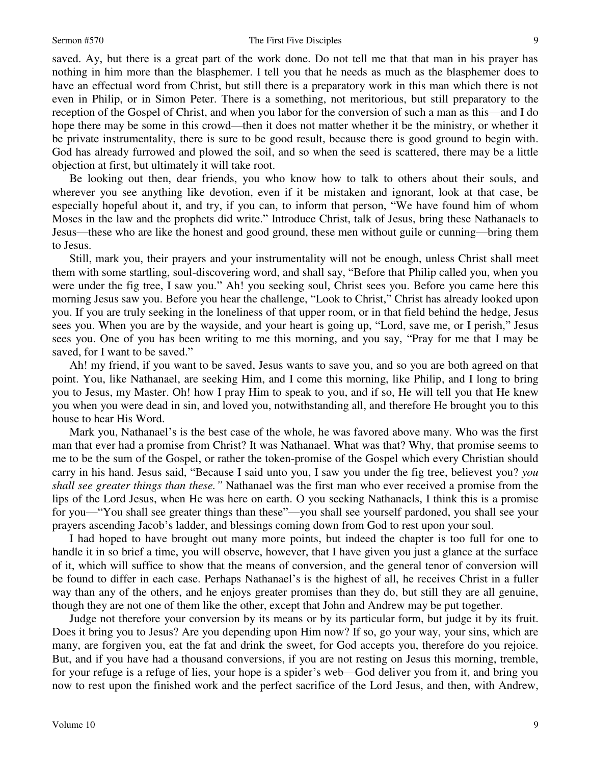## Sermon #570 The First Five Disciples

saved. Ay, but there is a great part of the work done. Do not tell me that that man in his prayer has nothing in him more than the blasphemer. I tell you that he needs as much as the blasphemer does to have an effectual word from Christ, but still there is a preparatory work in this man which there is not even in Philip, or in Simon Peter. There is a something, not meritorious, but still preparatory to the reception of the Gospel of Christ, and when you labor for the conversion of such a man as this—and I do hope there may be some in this crowd—then it does not matter whether it be the ministry, or whether it be private instrumentality, there is sure to be good result, because there is good ground to begin with. God has already furrowed and plowed the soil, and so when the seed is scattered, there may be a little objection at first, but ultimately it will take root.

Be looking out then, dear friends, you who know how to talk to others about their souls, and wherever you see anything like devotion, even if it be mistaken and ignorant, look at that case, be especially hopeful about it, and try, if you can, to inform that person, "We have found him of whom Moses in the law and the prophets did write." Introduce Christ, talk of Jesus, bring these Nathanaels to Jesus—these who are like the honest and good ground, these men without guile or cunning—bring them to Jesus.

Still, mark you, their prayers and your instrumentality will not be enough, unless Christ shall meet them with some startling, soul-discovering word, and shall say, "Before that Philip called you, when you were under the fig tree, I saw you." Ah! you seeking soul, Christ sees you. Before you came here this morning Jesus saw you. Before you hear the challenge, "Look to Christ," Christ has already looked upon you. If you are truly seeking in the loneliness of that upper room, or in that field behind the hedge, Jesus sees you. When you are by the wayside, and your heart is going up, "Lord, save me, or I perish," Jesus sees you. One of you has been writing to me this morning, and you say, "Pray for me that I may be saved, for I want to be saved."

Ah! my friend, if you want to be saved, Jesus wants to save you, and so you are both agreed on that point. You, like Nathanael, are seeking Him, and I come this morning, like Philip, and I long to bring you to Jesus, my Master. Oh! how I pray Him to speak to you, and if so, He will tell you that He knew you when you were dead in sin, and loved you, notwithstanding all, and therefore He brought you to this house to hear His Word.

Mark you, Nathanael's is the best case of the whole, he was favored above many. Who was the first man that ever had a promise from Christ? It was Nathanael. What was that? Why, that promise seems to me to be the sum of the Gospel, or rather the token-promise of the Gospel which every Christian should carry in his hand. Jesus said, "Because I said unto you, I saw you under the fig tree, believest you? *you shall see greater things than these."* Nathanael was the first man who ever received a promise from the lips of the Lord Jesus, when He was here on earth. O you seeking Nathanaels, I think this is a promise for you—"You shall see greater things than these"—you shall see yourself pardoned, you shall see your prayers ascending Jacob's ladder, and blessings coming down from God to rest upon your soul.

I had hoped to have brought out many more points, but indeed the chapter is too full for one to handle it in so brief a time, you will observe, however, that I have given you just a glance at the surface of it, which will suffice to show that the means of conversion, and the general tenor of conversion will be found to differ in each case. Perhaps Nathanael's is the highest of all, he receives Christ in a fuller way than any of the others, and he enjoys greater promises than they do, but still they are all genuine, though they are not one of them like the other, except that John and Andrew may be put together.

Judge not therefore your conversion by its means or by its particular form, but judge it by its fruit. Does it bring you to Jesus? Are you depending upon Him now? If so, go your way, your sins, which are many, are forgiven you, eat the fat and drink the sweet, for God accepts you, therefore do you rejoice. But, and if you have had a thousand conversions, if you are not resting on Jesus this morning, tremble, for your refuge is a refuge of lies, your hope is a spider's web—God deliver you from it, and bring you now to rest upon the finished work and the perfect sacrifice of the Lord Jesus, and then, with Andrew,

9